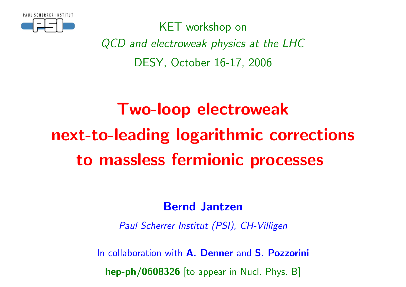

KET workshop onQCD and electroweak physics at the LHCDESY, October 16-17, <sup>2006</sup>

# Two-loop electroweaknext-to-leading logarithmic correctionsto massless fermionic processes

### Bernd Jantzen

Paul Scherrer Institut (PSI), CH-Villigen

In collaboration with **A. Denner** and S. Pozz<mark>orini</mark>

 $\bm{\mathsf{hep\text{-}ph}}/\bm{0608326}$  [to appear in Nucl. Phys. B]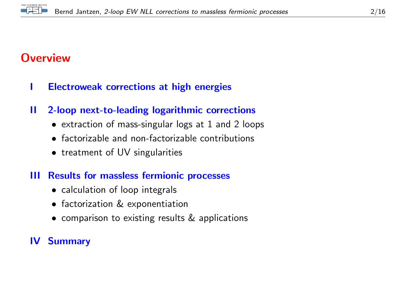

### **Overview**

- <sup>I</sup> Electroweak corrections at high energies
- II 2-loop next-to-leading logarithmic corrections
	- extraction of mass-singular logs at <sup>1</sup> and <sup>2</sup> loops
	- factorizable and non-factorizable contributions
	- treatment of UV singularities

#### III Results for massless fermionic processes

- calculation of loop integrals
- factorization & exponentiation
- comparison to existing results & applications

### IV Summary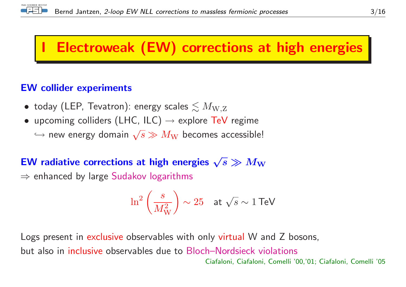

# **Electroweak (EW) corrections at high energies**

#### EW collider experiments

- $\bullet\,$  today (LEP, Tevatron): energy scales  $\lesssim M_{\rm W,Z}$
- upcoming colliders (LHC, ILC)  $\rightarrow$  explore TeV regime
	- $\hookrightarrow$  new energy domain  $\sqrt{s} \gg M_{\mathrm W}$  becomes accessible!

# EW radiative corrections at high energies  $\sqrt{s} \gg M_{\rm W}$ <br> $\rightarrow$  enhanced by large Sudakey legarithms

 $\Rightarrow$  enhanced by large  $\mathsf{S}$ udakov logarithms

$$
\ln^2\left(\frac{s}{M_{\mathrm{W}}^2}\right) \sim 25 \quad \text{at } \sqrt{s} \sim 1 \text{ TeV}
$$

Logs present in <mark>exclusive</mark> observables with only <mark>virtual</mark> W and Z bosons, but also in inclusive observables due to Bloch–Nordsieck violations Ciafaloni, Ciafaloni, Comelli '00,'01; Ciafaloni, Comelli '05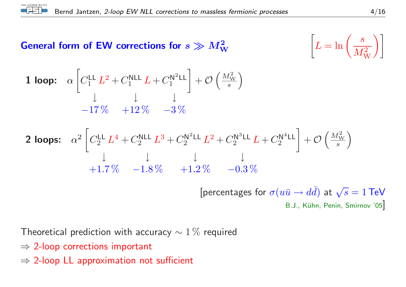

# General form of EW corrections for  $s \gg M_\mathrm{W}^2$

| $\overline{\textbf{W}}$ | $\left[ L = \ln \left( \frac{s}{M_{\mathrm{W}}^2} \right) \right]$ |
|-------------------------|--------------------------------------------------------------------|
|                         |                                                                    |

**1 loop:** 
$$
\alpha \left[ C_1^{\text{LL}} L^2 + C_1^{\text{NLL}} L + C_1^{\text{N}^2 \text{LL}} \right] + \mathcal{O} \left( \frac{M_{\text{W}}^2}{s} \right)
$$
  
-17\% +12\% -3\%

**2 loops:** 
$$
\alpha^2 \left[ C_2^{\text{LL}} L^4 + C_2^{\text{NLL}} L^3 + C_2^{\text{N}^2 \text{LL}} L^2 + C_2^{\text{N}^3 \text{LL}} L + C_2^{\text{N}^4 \text{LL}} \right] + \mathcal{O} \left( \frac{M_{\text{W}}^2}{s} \right)
$$
  
+1.7\%  $-1.8\%$   $+1.2\%$   $-0.3\%$ 

[percentages for  $\sigma(u\bar{u} \to$  $\overrightarrow{dd}$  at  $\sqrt{s} = 1$  TeV B.J., Kühn, Penin, Smirnov '05 $\big]$ 

Theoretical prediction with accuracy  $\sim 1\,\%$  required

- ⇒ 2-loop corrections important
- $\Rightarrow$  2-loop LL approximation not sufficient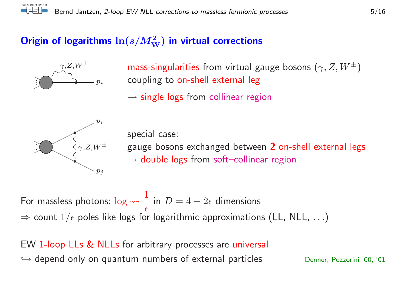## Origin of logarithms  $\ln(s/M_\mathrm{W}^2)$  in virtual corrections



 $\gamma,Z,W^\pm$  mass-singularities from virtual gauge bosons  $\left(\gamma,Z,W^\pm\right)$ coupling to on-shell external leg

 $\rightarrow$  single logs from collinear region



special case: gauge bosons exchanged between <sup>2</sup> on-shell external legs  $\rightarrow$  double logs from soft–collinear region

For massless photons:  $\log\leadsto \frac{1}{\epsilon}$  $\Rightarrow$  count  $1/\epsilon$  poles like logs for logarithmic approximations (LL, NLL,  $\ldots$ ) in  $D=4-2\epsilon$  dimensions

EW 1-loop LLs & NLLs for arbitrary processes are universal  $\hookrightarrow$  depend only on quantum numbers of external particles  $\hspace{1.6cm}$  Denner, Pozzorini '00, '01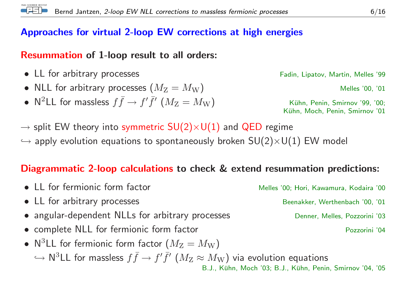#### Approaches for virtual 2-loop EW corrections at high energies

## Resummation of 1-loop result to all orders:

- LL for arbitrary processes Fadin, Lipatov, Martin, Melles '99
- NLL for arbitrary processes  $(M_Z =$  $=M_{\mathrm W})$  Melles '00, '01
- •• N<sup>2</sup>LL for massless  $f \bar{f} \to f' \bar{f}'$   $(M_{\rm Z} = M_{\rm W})$  Kühn, Penin, Smirnov '99, '00;<br>Kühn, Moch, Penin, Smirnov '01

Kühn, Moch, Penin, Smirnov '01

B.J., Kühn, Moch '03; B.J., Kühn, Penin, Smirnov '04, '05

- $\rightarrow$  split EW theory into symmetric  $SU(2)\times U(1)$  and QED regime
- $\hookrightarrow$  apply evolution equations to spontaneously broken  $\mathsf{SU}(2){\times}\mathsf{U}(1)$  EW model

### Diagrammatic 2-loop calculations to check & extend resummation predictions:

• LL for fermionic form factor Melles '00; Hori, Kawamura, Kodaira '00 • LL for arbitrary processes Beenakker, Werthenbach '00, '01 • angular-dependent NLLs for arbitrary processes Denner, Melles, Pozzorini '03 • complete NLL for fermionic form factor example the second Pozzorini '04 • N<sup>3</sup>LL for fermionic form factor  $(M_Z = M_W)$  $\hookrightarrow$  $\hookrightarrow$  <code>N<sup>3</sup>LL</code> for massless  $f\bar{f} \to f'\bar{f}'$   $(M_{\mathrm{Z}} \approx M_{\mathrm{W}})$  via evolution equations  $_{\text{B.J., Kühn. Moch '03: B.J., Kühn. Penir}}$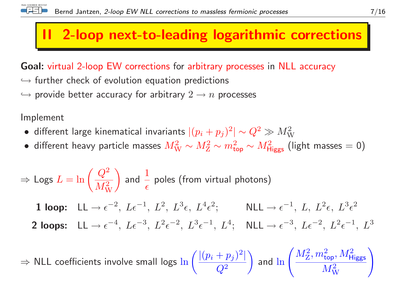## 2-loop next-to-leading logarithmic corrections

Goal: virtual 2-loop EW corrections for arbitrary processes in NLL accuracy

- $\hookrightarrow$  further check of evolution equation predictions
- $\hookrightarrow$  provide better accuracy for arbitrary  $2\to n$  processes

Implement

- different large kinematical invariants  $|(p_i + p_j)^2| \sim Q^2 \gg M_{\rm W}^2$
- $\bullet\,$  different heavy particle masses  $M_{\rm W}^2\sim M_{\rm Z}^2\sim m_{\rm top}^2\sim M_{\rm Higgs}^2$  (light masses  $=0)$

$$
\Rightarrow \text{Logs } L = \ln\left(\frac{Q^2}{M_W^2}\right) \text{ and } \frac{1}{\epsilon} \text{ poles (from virtual photons)}
$$
  
**1 loop:**  $LL \rightarrow \epsilon^{-2}$ ,  $L\epsilon^{-1}$ ,  $L^2$ ,  $L^3\epsilon$ ,  $L^4\epsilon^2$ ;  $NLL \rightarrow \epsilon^{-1}$ ,  $L$ ,  $L^2\epsilon$ ,  $L^3\epsilon^2$   
**2 loops:**  $LL \rightarrow \epsilon^{-4}$ ,  $L\epsilon^{-3}$ ,  $L^2\epsilon^{-2}$ ,  $L^3\epsilon^{-1}$ ,  $L^4$ ;  $NLL \rightarrow \epsilon^{-3}$ ,  $L\epsilon^{-2}$ ,  $L^2\epsilon^{-1}$ ,  $L^3$ 

⇒ $\Rightarrow$  NLL coefficients involve small logs  $\ln \left(\frac{|(p_i+p_j)^2|}{Q^2}\right)$  and  $\ln \left(\frac{M_\mathrm{Z}^2,m_\mathrm{top}^2,M_\mathrm{Higgs}^2}{M_\mathrm{W}^2}\right)$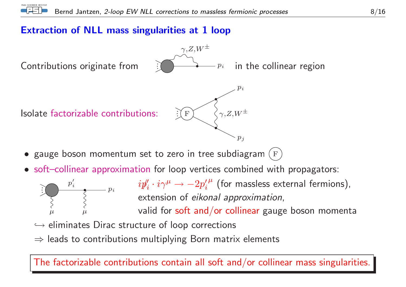#### Extraction of NLL mass singularities at <sup>1</sup> loop



- $\bullet\,$  gauge boson momentum set to zero in tree subdiagram  $\left(\frac{F}{F}\right)$
- soft–collinear approximation for loop vertices combined with propagators:



 $i\over\overline{\mathcal{E}}^{i}=\overline{p}_{i}\qquad \quad i\rlap/v''_i\cdot i\gamma^\mu\rightarrow -2p_i'^{\,\mu}$  (for massless external fermions), extension of *eikonal approximation*,

valid for  $\mathsf{soft}$  and/or collinear gauge boson momenta

- $\hookrightarrow$  eliminates Dirac structure of loop corrections
- $\Rightarrow$  leads to contributions multiplying Born matrix elements

The factorizable contributions contain all soft and/or collinear mass singularities.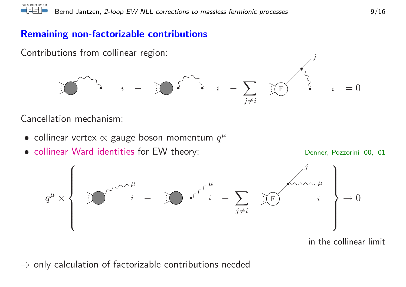#### Remaining non-factorizable contributions

Contributions from collinear region:



Cancellation mechanism:

- collinear vertex  $\propto$  gauge boson momentum  $q^\mu$
- collinear Ward identities for EW theory: Denner, Pozzorini '00, '01



in the collinear limit

 $\Rightarrow$  only calculation of factorizable contributions needed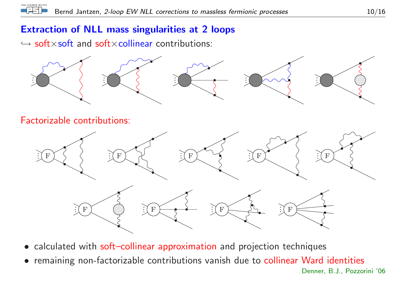#### Extraction of NLL mass singularities at <sup>2</sup> loops

 $\hookrightarrow$  soft $\times$ soft and soft $\times$ collinear contributions:

PAUL SCHERRER INSTITUT



- calculated with soft–collinear approximation and projection techniques
- remaining non-factorizable contributions vanish due to collinear Ward identities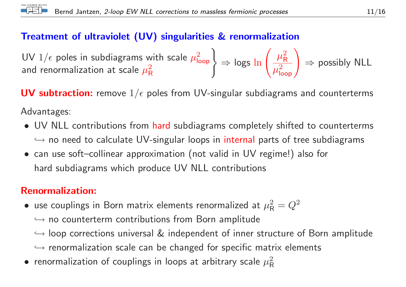

#### Treatment of ultraviolet (UV) singularities & renormalization

UV  $1/\epsilon$  poles in subdiagrams with scale  $\mu_{\sf loop}^2$   $\Rightarrow$  logs  $\ln\left(\frac{\mu_{\sf R}^2}{\mu_{\sf loop}^2}\right) \Rightarrow$  possibly NLL and renormalization at scale  $\mu_{\sf R}^2$ 

 $\textsf{\textbf{UV}}$  subtraction: remove  $1/\epsilon$  poles from UV-singular subdiagrams and counterterms Advantages:

- UV NLL contributions from hard subdiagrams completely shifted to counterterms  $\hookrightarrow$  no need to calculate UV-singular loops in internal parts of tree subdiagrams<br>see use often linear communication (not uslid in UV marineal) also fam
- can use soft–collinear approximation (not valid in UV regime!) also for hard subdiagrams which produce UV NLL contributions

#### Renormalization:

- $\bullet$  use couplings in Born matrix elements renormalized at  $\mu_{\mathsf{R}}^2 = Q^2$ 
	- $\hookrightarrow$  no counterterm contributions from Born amplitude
	- $\hookrightarrow$  loop corrections universal  $\&$  independent of inner structure of Born amplitude
	- ֒→ renormalization scale can be changed for specific matrix elements
- $\bullet\,$  renormalization of couplings in loops at arbitrary scale  $\mu_{\mathsf{R}}^2$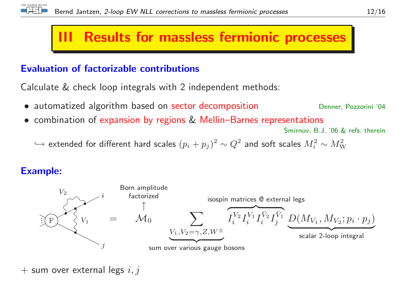

## **Results for massless fermionic processes**

#### Evaluation of factorizable contributions

Calculate & check loop integrals with <sup>2</sup> independent methods:

- automatized algorithm based on sector decomposition
- combination of expansion by regions & Mellin–Barnes representations

Smirnov, B.J. '06 & refs. therein

Denner, Pozzorini '04

 $\hookrightarrow$  extended for different hard scales  $(p_i+p_j)^2\sim Q^2$  and soft scales  $M_i^2\sim M_{\mathrm{W}}^2$ 

#### Example:



 $+$  sum over external legs  $i,j$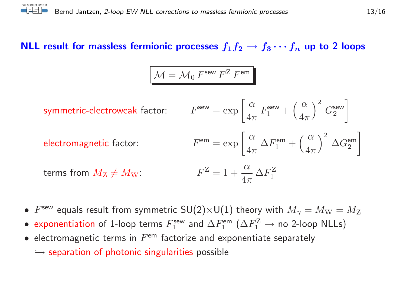# NLL result for massless fermionic processes  $f_1f_2\to f_3\cdots f_n$  up to 2 loops

$$
\mathcal{M} = \mathcal{M}_0 F^{\text{sew}} F^{\text{Z}} F^{\text{em}}
$$

symmetric-electroweak factor: 
$$
F^{\text{sew}} = \exp\left[\frac{\alpha}{4\pi} F_1^{\text{sew}} + \left(\frac{\alpha}{4\pi}\right)^2 G_2^{\text{sew}}\right]
$$

electromagnetic factor:

\n
$$
F^{\text{em}} = \exp\left[\frac{\alpha}{4\pi} \Delta F_1^{\text{em}} + \left(\frac{\alpha}{4\pi}\right)^2 \Delta G_2^{\text{em}}\right]
$$

terms from 
$$
M_Z \neq M_W
$$
:  $F^Z = 1 + \frac{\alpha}{4\pi} \Delta F_1^Z$ 

- $F^{\text{sew}}$  equals result from symmetric  $SU(2)\times U(1)$  theory with  $M_{\gamma}=M_{\rm W}=M_{\rm Z}$
- exponentiation of 1-loop terms  $F_1^{\text{sew}}$  and  $\Delta F_1^{\text{em}}$  ( $\Delta F_1^{\text{Z}} \rightarrow$  no 2-loop NLLs)
- $\bullet$  electromagnetic terms in  $F^{\mathsf{em}}$  factorize and exponentiate separately

 $\hookrightarrow$  separation of photonic singularities possible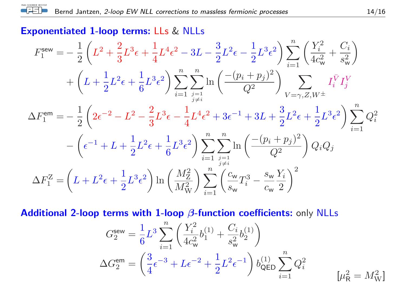## ${\sf Exponentialed\ 1\text{-loop terms: Lls \& NLLs}}$

PAUL SCHERRER INSTITUT Æ

$$
F_1^{\text{sew}} = -\frac{1}{2} \left( L^2 + \frac{2}{3} L^3 \epsilon + \frac{1}{4} L^4 \epsilon^2 - 3L - \frac{3}{2} L^2 \epsilon - \frac{1}{2} L^3 \epsilon^2 \right) \sum_{i=1}^n \left( \frac{Y_i^2}{4c_w^2} + \frac{C_i}{s_w^2} \right)
$$
  
+  $\left( L + \frac{1}{2} L^2 \epsilon + \frac{1}{6} L^3 \epsilon^2 \right) \sum_{i=1}^n \sum_{\substack{j=1 \ j \neq i}}^n \ln \left( \frac{-(p_i + p_j)^2}{Q^2} \right) \sum_{V=\gamma, Z, W^{\pm}} I_i^{\bar{V}} I_j^{\bar{V}}$   

$$
\Delta F_1^{\text{em}} = -\frac{1}{2} \left( 2\epsilon^{-2} - L^2 - \frac{2}{3} L^3 \epsilon - \frac{1}{4} L^4 \epsilon^2 + 3\epsilon^{-1} + 3L + \frac{3}{2} L^2 \epsilon + \frac{1}{2} L^3 \epsilon^2 \right) \sum_{i=1}^n Q_i^2
$$
  
-  $\left( \epsilon^{-1} + L + \frac{1}{2} L^2 \epsilon + \frac{1}{6} L^3 \epsilon^2 \right) \sum_{i=1}^n \sum_{\substack{j=1 \ j \neq i}}^n \ln \left( \frac{-(p_i + p_j)^2}{Q^2} \right) Q_i Q_j$   

$$
\Delta F_1^Z = \left( L + L^2 \epsilon + \frac{1}{2} L^3 \epsilon^2 \right) \ln \left( \frac{M_Z^2}{M_W^2} \right) \sum_{i=1}^n \left( \frac{c_w}{s_w} T_i^3 - \frac{s_w}{c_w} \frac{Y_i}{2} \right)^2
$$

**Additional 2-loop terms with 1-loop**  $\beta$ **-function coefficients:** only <code>NLLs</code>

$$
G_2^{\text{sew}} = \frac{1}{6} L^3 \sum_{i=1}^n \left( \frac{Y_i^2}{4c_w^2} b_1^{(1)} + \frac{C_i}{s_w^2} b_2^{(1)} \right)
$$
  

$$
\Delta G_2^{\text{em}} = \left( \frac{3}{4} \epsilon^{-3} + L \epsilon^{-2} + \frac{1}{2} L^2 \epsilon^{-1} \right) b_{\text{QED}}^{(1)} \sum_{i=1}^n Q_i^2
$$
  

$$
[\mu_R^2 = M_W^2]
$$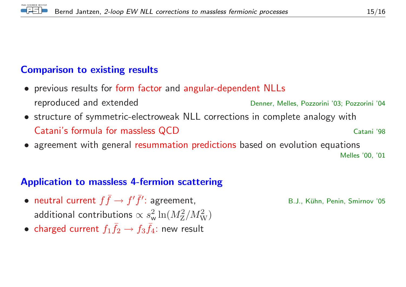

#### Comparison to existing results

- previous results for form factor and angular-dependent NLLs reproduced and extendedDenner, Melles, Pozzorini '03; Pozzorini '04
- structure of symmetric-electroweak NLL corrections in complete analogy withCatani's formula for massless QCDCatani '98
- agreement with genera<sup>l</sup> resummation predictions based on evolution equations

Melles '00, '01

#### Application to massless 4-fermion scattering

- •• neutral current  $f\bar{f} \rightarrow$ **neutral current**  $f\bar{f}$  →  $f'\bar{f}'$ : agreement, B.J., Kühn, Penin, Smirnov '05 additional contributions  $\propto s_w^2 \ln(M_Z^2/M_W^2)$
- charged current  $f_1 \bar{f}_2 \rightarrow$  $\rightarrow f_3 \bar{f}_4$ : new result